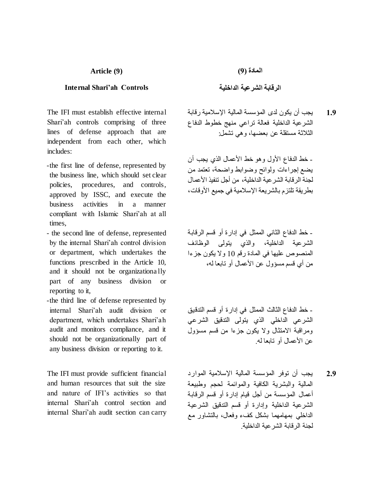#### **Article (9)**

#### **Internal Shari'ah Controls**

The IFI must establish effective internal Shari'ah controls comprising of three lines of defense approach that are independent from each other, which includes:

- -the first line of defense, represented by the business line, which should set clear policies, procedures, and controls, approved by ISSC, and execute the business activities in a manner compliant with Islamic Shari'ah at all times,
- the second line of defense, represented by the internal Shari'ah control division or department, which undertakes the functions prescribed in the Article 10, and it should not be organizationa lly part of any business division or reporting to it,
- -the third line of defense represented by internal Shari'ah audit division or department, which undertakes Shari'ah audit and monitors compliance, and it should not be organizationally part of any business division or reporting to it.

The IFI must provide sufficient financial and human resources that suit the size and nature of IFI's activities so that internal Shari'ah control section and internal Shari'ah audit section can carry **المادة )9(**

**الرقابة الشرعية الداخلية**

يجب أن يكون لدى المؤسسة المالية اإلسالمية رقابة الشرعية الداخلية فعالة تراعي منهج خطوط الدفاع الثالثة مستقلة عن بعضها، وهي تشمل: **1.9**

- خط الدفاع الأول وهو خط الأعمال الذي يجب أن يضع إجراءات ولوائح وضوابط واضحة، تعتمد من لجنة الر قابة الشر عبة الداخلية، من أجل تنفيذ الأعمال بطريقة تلتزم بالشريعة اإلسالمية في جميع األوقات،

- خط الدفاع الثاني الممثل في إدارة أو قسم الرقابة الشرعية الداخلية، والذي يتولى الوظائف المنصوص عليها في المادة رقم 10 وال يكون جزءا من أي قسم مسؤول عن الأعمال أو تابعا له،

- خط الدفاع الثالث الممثل في إدارة أو قسم التدقيق الشرعي الداخلي الذي يتولى التدقيق الشرعي ومراقبة االمتثال وال يكون جزءا من قسم مسؤول عن الأعمال أو تابعا له.

يجب أن توفر المؤسسة المالية اإلسالمية الموارد المالية والبشرية الكافية والموائمة لحجم وطبيعة أعمال المؤسسة من أجل قيام إدارة أو قسم الرقابة الشرعية الداخلية وإدارة أو قسم التدقيق الشرعية الداخلي بمهامهما بشكل كفء وفعال، بالتشاور مع لجنة الرقابة الشرعية الداخلية. **2.9**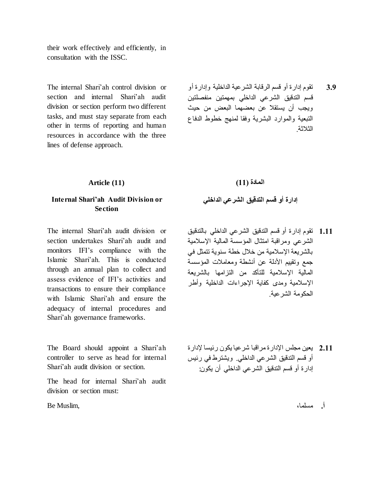their work effectively and efficiently, in consultation with the ISSC.

The internal Shari'ah control division or section and internal Shari'ah audit division or section perform two different tasks, and must stay separate from each other in terms of reporting and human resources in accordance with the three lines of defense approach.

تقوم إدارة أو قسم الرقابة الشرعية الداخلية وإدارة أو قسم التدقيق الشرعي الداخلي بمهمتين منفصلتين ويجب أن يستقال عن بعضهما البعض من حيث التبعية والموارد البشرية وفقا لمنهج خطوط الدفاع الثلاثة **3.9**

**Article (11)**

## **Internal Shari'ah Audit Division or Section**

The internal Shari'ah audit division or section undertakes Shari'ah audit and monitors IFI's compliance with the Islamic Shari'ah. This is conducted through an annual plan to collect and assess evidence of IFI's activities and transactions to ensure their compliance with Islamic Shari'ah and ensure the adequacy of internal procedures and Shari'ah governance frameworks.

The Board should appoint a Shari'ah controller to serve as head for internal Shari'ah audit division or section.

The head for internal Shari'ah audit division or section must:

**أ.** مسلما، ,Muslim Be

# **المادة )11(**

### **إدارة أو قسم التدقيق الشرعي الداخلي**

- تقوم إدارة أو قسم التدقيق الشرعي الداخلي بالتدقيق الشرعي ومراقبة امتثال المؤسسة المالية اإلسالمية بالشريعة اإلسالمية من خالل خطة سنوية تتمثل في جمع وتقييم األدلة عن أنشطة ومعامالت المؤسسة المالية اإلسالمية للتأكد من التزامها بالشريعة اإلسالمية ومدى كفاية اإلجراءات الداخلية وأطر الحكومة الشرعية. **1.11**
- يعين مجلس اإلدارةمراقبا شرعيا يكون رئيسا إلدارة **2.11** أو قسم التدقيق الشرعي الداخلي. ويشترط في رئيس إدارة أو قسم التدقيق الشرعي الداخلي أن يكون: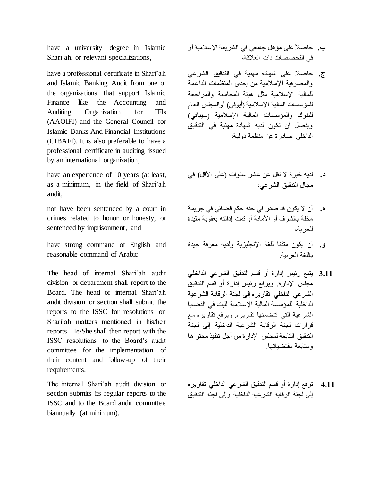have a university degree in Islamic Shari'ah, or relevant specializations,

have a professional certificate in Shari'ah and Islamic Banking Audit from one of the organizations that support Islamic Finance like the Accounting and Auditing Organization for IFIs (AAOIFI) and the General Council for Islamic Banks And Financial Institutions (CIBAFI). It is also preferable to have a professional certificate in auditing issued by an international organization,

have an experience of 10 years (at least, as a minimum, in the field of Shari'ah audit,

not have been sentenced by a court in crimes related to honor or honesty, or sentenced by imprisonment, and

have strong command of English and reasonable command of Arabic.

The head of internal Shari'ah audit division or department shall report to the Board. The head of internal Shari'ah audit division or section shall submit the reports to the ISSC for resolutions on Shari'ah matters mentioned in his/her reports. He/She shall then report with the ISSC resolutions to the Board's audit committee for the implementation of their content and follow-up of their requirements.

The internal Shari'ah audit division or section submits its regular reports to the ISSC and to the Board audit committee biannually (at minimum).

- حاصالً على مؤهل جامعي في الشريعة اإلسالميةأو **ب.** في التخصصات ذات العالقة،
- حاصال على شهادة مهنية في التدقيق الشرعي **ج.** والمصرفية اإلسالمية من إحدى المنظمات الداعمة للمالية اإلسالمية مثل هيئة المحاسبة والمراجعة للمؤسسات المالية الإسلامية (أيوفي) أوالمجلس العام للبنوك والمؤسسات المالية اإلسالمية )سيبافي( ويفضل أن تكون لديه شهادة مهنية في التدقيق الداخلي صادرة عن منظمة دولية،
- **د.** لديه خبرة لا تقل عن عشر سنوات (على الأقل) في مجال التدقيق الشرعي،
- أن ال يكون قد صدر في حقه حكم قضائي في جريمة **ه.** مخلة بالشرف أو األمانة أو تمت إدانته بعقوبة مقيدة للحرية،
- أن يكون متقنا للغة اإلنجليزية ولديه معرفة جيدة **و.** باللغة العربية.
- يتبع رئيس إدارة أو قسم التدقيق الشرعي الداخلي **3.11** مجلس اإلدارة. ويرفع رئيس إدارة أو قسم التدقيق الشرعي الداخلي تقاريره إلى لجنة الرقابة الشرعية الداخلية للمؤسسة المالية اإلسالمية للبت في القضايا الشرعية التي تتضمنها تقاريره. ويرفع تقاريره مع قرارات لجنة الرقابة الشرعية الداخلية إلى لجنة التدقيق التابعة لمجلس اإلدارة من أجل تنفيذ محتواها ومتابعة مقتضياتها.
- ترفع إدارة أو قسم التدقيق الشرعي الداخلي تقاريره إلى لجنة الرقابة الشرعية الداخلية وإلى لجنة التدقيق **4.11**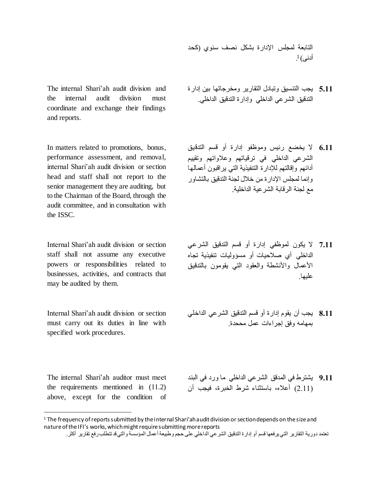التابعة لمجلس اإلدارة بشكل نصف سنوي )كحد 1 أدنى( .

- يجب التنسيق وتبادل التقارير ومخرجاتها بين إدارة **5.11** التدقيق الشرعي الداخلي وإدارة التدقيق الداخلي.
- ال يخضع رئيس وموظفو إدارة أو قسم التدقيق **6.11** الشرعي الداخلي في ترقياتهم وعالواتهم وتقييم أدائهم وإقالتهم لإلدارة التنفيذية التي يراقبون أعمالها وإنما لمجلس اإلدارة من خالل لجنة التدقيق بالتشاور مع لجنة الرقابة الشرعية الداخلية.
- ال يكون لموظفي إدارة أو قسم التدقيق الشرعي **7.11** الداخلي أي صالحيات أو مسؤوليات تنفيذية تجاه الأعمال والأنشطة والعقود التبي يقومون بالتدقيق عليها.
- يجب أن يقوم إدارة أو قسم التدقيق الشرعي الداخلي **8.11** بمهامه وفق إجراءات عمل مححدة.
- يشترط في المدقق الشرعي الداخلي ما ورد في البند **9.11** )2.11( أعاله، باستثناء شرط الخبرة، فيجب أن

The internal Shari'ah audit division and the internal audit division must coordinate and exchange their findings and reports.

In matters related to promotions, bonus, performance assessment, and removal, internal Shari'ah audit division or section head and staff shall not report to the senior management they are auditing, but to the Chairman of the Board, through the audit committee, and in consultation with the ISSC.

Internal Shari'ah audit division or section staff shall not assume any executive powers or responsibilities related to businesses, activities, and contracts that may be audited by them.

Internal Shari'ah audit division or section must carry out its duties in line with specified work procedures.

The internal Shari'ah auditor must meet the requirements mentioned in (11.2) above, except for the condition of

l

 $1$  The frequency of reports submitted by the internal Shari'ah audit division or section depends on the size and nature of the IFI's works, which might require submitting more reports

تعتمد دورية التقارير التي يرفعها قسم أو إدارة التدقيق الشرعي الداخلي على حجم وطبيعة أعمال المؤسسة والتي قد تتطلب رفع تقارير أكثر.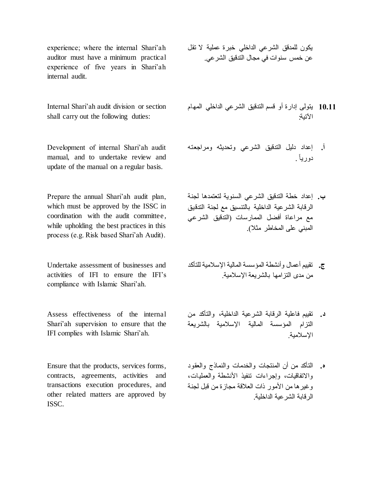experience; where the internal Shari'ah auditor must have a minimum practical experience of five years in Shari'ah internal audit.

Internal Shari'ah audit division or section shall carry out the following duties:

Development of internal Shari'ah audit manual, and to undertake review and update of the manual on a regular basis.

Prepare the annual Shari'ah audit plan, which must be approved by the ISSC in coordination with the audit committee , while upholding the best practices in this process (e.g. Risk based Shari'ah Audit).

Undertake assessment of businesses and activities of IFI to ensure the IFI's compliance with Islamic Shari'ah.

Assess effectiveness of the internal Shari'ah supervision to ensure that the IFI complies with Islamic Shari'ah.

Ensure that the products, services forms, contracts, agreements, activities and transactions execution procedures, and other related matters are approved by ISSC.

- يكون للمدقق الشرعي الداخلي خبرة عملية ال تقل عن خمس سنوات في مجال التدقيق الشرعي.
- يتولى إدارة أو قسم التدقيق الشرعي الداخلي المهام **10.11** اآلتية:
- إعداد دليل التدقيق الشرعي وتحديثه ومراجعته **أ. أ** دوريا . ً **.**
- إعداد خطة التدقيق الشرعي السنوية لتعتمدها لجنة **ب. ب** الرقابة الشرعية الداخلية بالتنسيق مع لجنة التدقيق **.** مع مراعاة أفضل الممارسات )التدقيق الشرعي المبني على المخاطر مثال(.
- تقييم أعمال وأنشطة المؤسسة المالية اإلسالمية للتأكد **ج. ج** من مدى التزامها بالشريعة اإلسالمية. **.**
- تقييم فاعلية الرقابة الشرعية الداخلية، والتأكد من **د. د** التزام المؤسسة المالية اإلسالمية بالشريعة **.** اإلسالمية.
- التأكد من أن المنتجات والخدمات والنماذج والعقود **ه. ه** واالتفاقيات، وإجراءات تنفيذ األنشطة والعمليات، وغيرها من الأمور ذات العلاقة مجازة من قبل لجنة الرقابة الشرعية الداخلية.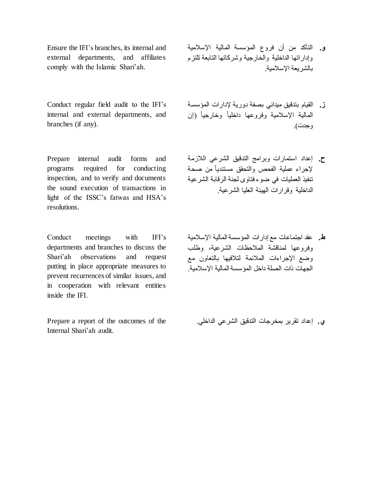Ensure the IFI's branches, its internal and external departments, and affiliates comply with the Islamic Shari'ah.

Conduct regular field audit to the IFI's internal and external departments, and branches (if any).

Prepare internal audit forms and programs required for conducting inspection, and to verify and documents the sound execution of transactions in light of the ISSC's fatwas and HSA's resolutions.

Conduct meetings with IFI's departments and branches to discuss the Shari'ah observations and request putting in place appropriate measures to prevent recurrences of similar issues, and in cooperation with relevant entities inside the IFI.

Prepare a report of the outcomes of the Internal Shari'ah audit.

- التأكد من أن فروع المؤسسة المالية اإلسالمية **و.** وإداراتها الداخلية والخارجية وشركاتها التابعة تلتزم بالشريعة اإلسالمية. **و**
- القيام بتدقيق ميداني بصفة دورية إلدارات المؤسسة **ز. ز** المالية الإسلامية وفروعها داخلياً وخارجياً (إن وجدت).
- إعداد استمارات وبرامج التدقيق الشرعي الالزمة **ح. ح** إلجراء عملية الفحص والتحقق مستندياً من صحة **.** تنفيذ العمليات في ضوء فتاوى لجنة الرقابة الشرعية الداخلية وقرارات الهيئة العليا الشرعية.
- عقد اجتماعات مع إدارات المؤسسة المالية اإلسالمية **ط. ط** وفروعها لمناقشة المالحظات الشرعية، وطلب **.** وضع اإلجراءات المالئمة لتالفيها بالتعاون مع الجهات ذات الصلة داخل المؤسسة المالية اإلسالمية.

**ي. ي**إعداد تقرير بمخرجات التدقيق الشرعي الداخلي.